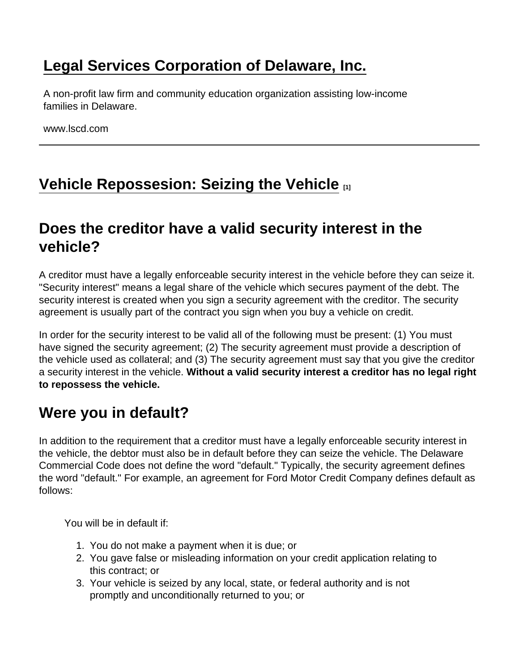## [Legal Services Corporation of Delaware, Inc.](https://www.lscd.com/)

A non-profit law firm and community education organization assisting low-income families in Delaware.

www.lscd.com

# [Vehicle Repossesion: Seizing the Vehicle](https://www.lscd.com/node/401/vehicle-repossesion-seizing-vehicle)  $\Box$ <sub>[1]</sub>

## Does the creditor have a valid security interest in the vehicle?

A creditor must have a legally enforceable security interest in the vehicle before they can seize it. "Security interest" means a legal share of the vehicle which secures payment of the debt. The security interest is created when you sign a security agreement with the creditor. The security agreement is usually part of the contract you sign when you buy a vehicle on credit.

In order for the security interest to be valid all of the following must be present: (1) You must have signed the security agreement; (2) The security agreement must provide a description of the vehicle used as collateral; and (3) The security agreement must say that you give the creditor a security interest in the vehicle. Without a valid security interest a creditor has no legal right to repossess the vehicle.

### Were you in default?

In addition to the requirement that a creditor must have a legally enforceable security interest in the vehicle, the debtor must also be in default before they can seize the vehicle. The Delaware Commercial Code does not define the word "default." Typically, the security agreement defines the word "default." For example, an agreement for Ford Motor Credit Company defines default as follows:

You will be in default if:

- 1. You do not make a payment when it is due; or
- 2. You gave false or misleading information on your credit application relating to this contract; or
- 3. Your vehicle is seized by any local, state, or federal authority and is not promptly and unconditionally returned to you; or